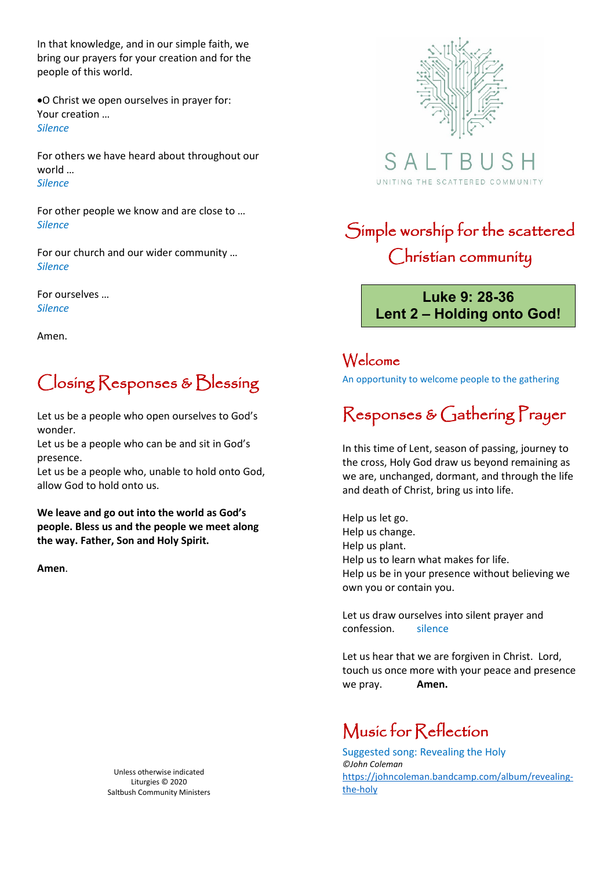In that knowledge, and in our simple faith, we bring our prayers for your creation and for the people of this world.

•O Christ we open ourselves in prayer for: Your creation … *Silence*

For others we have heard about throughout our world … *Silence*

For other people we know and are close to … *Silence*

For our church and our wider community … *Silence*

For ourselves … *Silence*

Amen.

## Closing Responses & Blessing

Let us be a people who open ourselves to God's wonder.

Let us be a people who can be and sit in God's presence.

Let us be a people who, unable to hold onto God, allow God to hold onto us.

**We leave and go out into the world as God's people. Bless us and the people we meet along the way. Father, Son and Holy Spirit.** 

**Amen**.

Unless otherwise indicated Liturgies © 2020 Saltbush Community Ministers



S A UNITING THE SCATTERED COMMUNITY

## Simple worship for the scattered Christian community

**Luke 9: 28-36 Lent 2 – Holding onto God!**

### Welcome

An opportunity to welcome people to the gathering

# Responses & Gathering Prayer

In this time of Lent, season of passing, journey to the cross, Holy God draw us beyond remaining as we are, unchanged, dormant, and through the life and death of Christ, bring us into life.

Help us let go. Help us change. Help us plant. Help us to learn what makes for life. Help us be in your presence without believing we own you or contain you.

Let us draw ourselves into silent prayer and confession. silence

Let us hear that we are forgiven in Christ. Lord, touch us once more with your peace and presence we pray. **Amen.**

### Music for Reflection

Suggested song: Revealing the Holy *©John Coleman* [https://johncoleman.bandcamp.com/album/revealing](https://johncoleman.bandcamp.com/album/revealing-the-holy)[the-holy](https://johncoleman.bandcamp.com/album/revealing-the-holy)